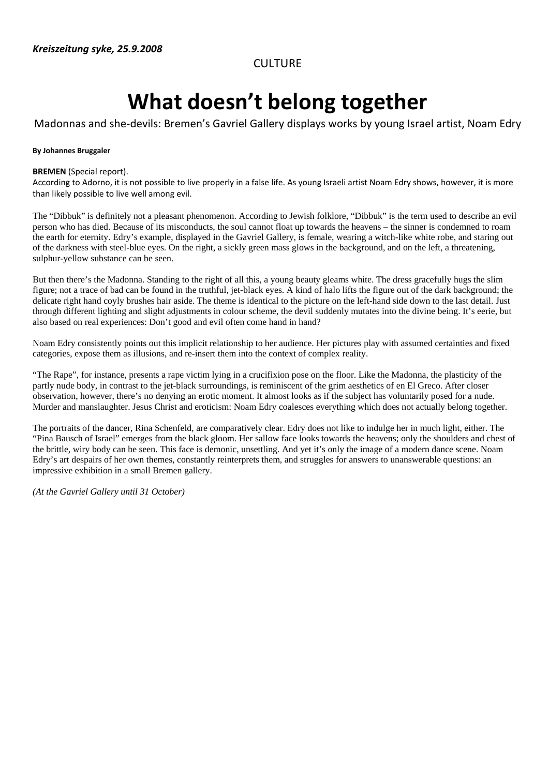**CULTURE** 

## **What doesn't belong together**

### Madonnas and she‐devils: Bremen's Gavriel Gallery displays works by young Israel artist, Noam Edry

#### **By Johannes Bruggaler**

#### **BREMEN** (Special report).

According to Adorno, it is not possible to live properly in a false life. As young Israeli artist Noam Edry shows, however, it is more than likely possible to live well among evil.

The "Dibbuk" is definitely not a pleasant phenomenon. According to Jewish folklore, "Dibbuk" is the term used to describe an evil person who has died. Because of its misconducts, the soul cannot float up towards the heavens – the sinner is condemned to roam the earth for eternity. Edry's example, displayed in the Gavriel Gallery, is female, wearing a witch-like white robe, and staring out of the darkness with steel-blue eyes. On the right, a sickly green mass glows in the background, and on the left, a threatening, sulphur-yellow substance can be seen.

But then there's the Madonna. Standing to the right of all this, a young beauty gleams white. The dress gracefully hugs the slim figure; not a trace of bad can be found in the truthful, jet-black eyes. A kind of halo lifts the figure out of the dark background; the delicate right hand coyly brushes hair aside. The theme is identical to the picture on the left-hand side down to the last detail. Just through different lighting and slight adjustments in colour scheme, the devil suddenly mutates into the divine being. It's eerie, but also based on real experiences: Don't good and evil often come hand in hand?

Noam Edry consistently points out this implicit relationship to her audience. Her pictures play with assumed certainties and fixed categories, expose them as illusions, and re-insert them into the context of complex reality.

"The Rape", for instance, presents a rape victim lying in a crucifixion pose on the floor. Like the Madonna, the plasticity of the partly nude body, in contrast to the jet-black surroundings, is reminiscent of the grim aesthetics of en El Greco. After closer observation, however, there's no denying an erotic moment. It almost looks as if the subject has voluntarily posed for a nude. Murder and manslaughter. Jesus Christ and eroticism: Noam Edry coalesces everything which does not actually belong together.

The portraits of the dancer, Rina Schenfeld, are comparatively clear. Edry does not like to indulge her in much light, either. The "Pina Bausch of Israel" emerges from the black gloom. Her sallow face looks towards the heavens; only the shoulders and chest of the brittle, wiry body can be seen. This face is demonic, unsettling. And yet it's only the image of a modern dance scene. Noam Edry's art despairs of her own themes, constantly reinterprets them, and struggles for answers to unanswerable questions: an impressive exhibition in a small Bremen gallery.

*(At the Gavriel Gallery until 31 October)*